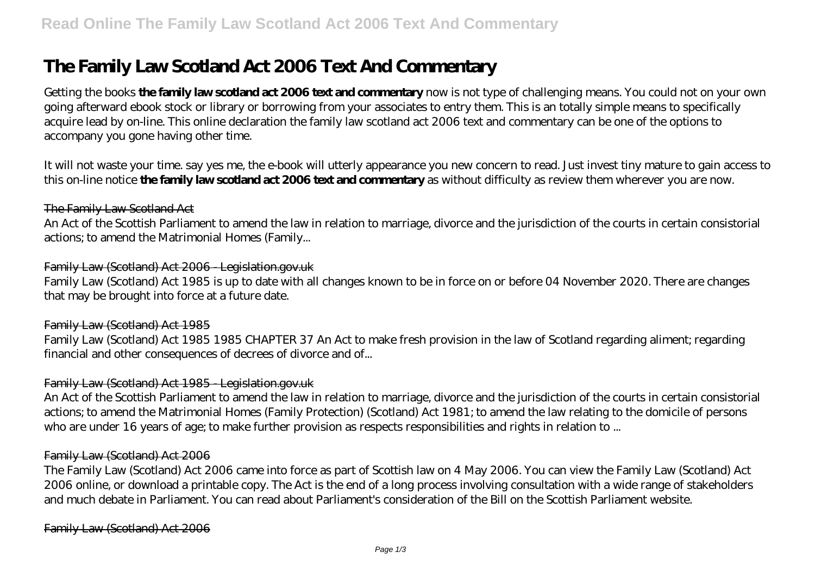# **The Family Law Scotland Act 2006 Text And Commentary**

Getting the books **the family law scotland act 2006 text and commentary** now is not type of challenging means. You could not on your own going afterward ebook stock or library or borrowing from your associates to entry them. This is an totally simple means to specifically acquire lead by on-line. This online declaration the family law scotland act 2006 text and commentary can be one of the options to accompany you gone having other time.

It will not waste your time. say yes me, the e-book will utterly appearance you new concern to read. Just invest tiny mature to gain access to this on-line notice **the family law scotland act 2006 text and commentary** as without difficulty as review them wherever you are now.

#### The Family Law Scotland Act

An Act of the Scottish Parliament to amend the law in relation to marriage, divorce and the jurisdiction of the courts in certain consistorial actions; to amend the Matrimonial Homes (Family...

# Family Law (Scotland) Act 2006 - Legislation.gov.uk

Family Law (Scotland) Act 1985 is up to date with all changes known to be in force on or before 04 November 2020. There are changes that may be brought into force at a future date.

#### Family Law (Scotland) Act 1985

Family Law (Scotland) Act 1985 1985 CHAPTER 37 An Act to make fresh provision in the law of Scotland regarding aliment; regarding financial and other consequences of decrees of divorce and of...

#### Family Law (Scotland) Act 1985 - Legislation.gov.uk

An Act of the Scottish Parliament to amend the law in relation to marriage, divorce and the jurisdiction of the courts in certain consistorial actions; to amend the Matrimonial Homes (Family Protection) (Scotland) Act 1981; to amend the law relating to the domicile of persons who are under 16 years of age; to make further provision as respects responsibilities and rights in relation to ...

#### Family Law (Scotland) Act 2006

The Family Law (Scotland) Act 2006 came into force as part of Scottish law on 4 May 2006. You can view the Family Law (Scotland) Act 2006 online, or download a printable copy. The Act is the end of a long process involving consultation with a wide range of stakeholders and much debate in Parliament. You can read about Parliament's consideration of the Bill on the Scottish Parliament website.

Family Law (Scotland) Act 2006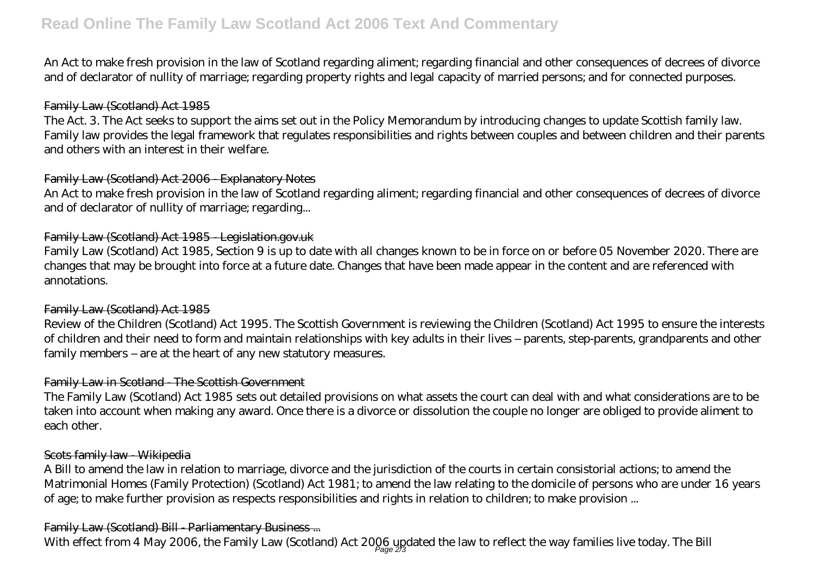# **Read Online The Family Law Scotland Act 2006 Text And Commentary**

An Act to make fresh provision in the law of Scotland regarding aliment; regarding financial and other consequences of decrees of divorce and of declarator of nullity of marriage; regarding property rights and legal capacity of married persons; and for connected purposes.

#### Family Law (Scotland) Act 1985

The Act. 3. The Act seeks to support the aims set out in the Policy Memorandum by introducing changes to update Scottish family law. Family law provides the legal framework that regulates responsibilities and rights between couples and between children and their parents and others with an interest in their welfare.

#### Family Law (Scotland) Act 2006 - Explanatory Notes

An Act to make fresh provision in the law of Scotland regarding aliment; regarding financial and other consequences of decrees of divorce and of declarator of nullity of marriage; regarding...

# Family Law (Scotland) Act 1985 - Legislation.gov.uk

Family Law (Scotland) Act 1985, Section 9 is up to date with all changes known to be in force on or before 05 November 2020. There are changes that may be brought into force at a future date. Changes that have been made appear in the content and are referenced with annotations.

#### Family Law (Scotland) Act 1985

Review of the Children (Scotland) Act 1995. The Scottish Government is reviewing the Children (Scotland) Act 1995 to ensure the interests of children and their need to form and maintain relationships with key adults in their lives – parents, step-parents, grandparents and other family members – are at the heart of any new statutory measures.

#### Family Law in Scotland - The Scottish Government

The Family Law (Scotland) Act 1985 sets out detailed provisions on what assets the court can deal with and what considerations are to be taken into account when making any award. Once there is a divorce or dissolution the couple no longer are obliged to provide aliment to each other.

#### Scots family law Wikipedia

A Bill to amend the law in relation to marriage, divorce and the jurisdiction of the courts in certain consistorial actions; to amend the Matrimonial Homes (Family Protection) (Scotland) Act 1981; to amend the law relating to the domicile of persons who are under 16 years of age; to make further provision as respects responsibilities and rights in relation to children; to make provision ...

#### Family Law (Scotland) Bill - Parliamentary Business ...

With effect from 4 May 2006, the Family Law (Scotland) Act 2006 updated the law to reflect the way families live today. The Bill